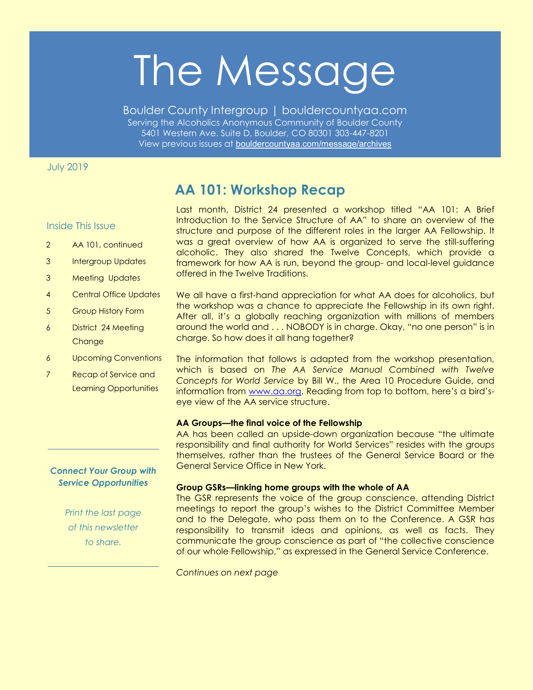# The Message

Boulder County Intergroup | bouldercountyaa.com Serving the Alcoholics Anonymous Community of Boulder County 5401 Western Ave. Suite D, Boulder, CO 80301 303-447-8201 View previous issues at [bouldercountyaa.com/message/archives](https://bouldercountyaa.com/message/archives)

# July 2019

# **AA 101: Workshop Recap**

## Inside This Issue

- 2 AA 101, continued
- 3 Intergroup Updates
- 3 Meeting Updates
- 4 Central Office Updates
- 5 Group History Form
- 6 District 24 Meeting **Change**
- 6 Upcoming Conventions
- 7 Recap of Service and Learning Opportunities

# *Connect Your Group with Service Opportunities*

*Print the last page of this newsletter to share.*

Last month, District 24 presented a workshop titled "AA 101: A Brief Introduction to the Service Structure of AA" to share an overview of the structure and purpose of the different roles in the larger AA Fellowship. It was a great overview of how AA is organized to serve the still-suffering alcoholic. They also shared the Twelve Concepts, which provide a framework for how AA is run, beyond the group- and local-level guidance offered in the Twelve Traditions.

We all have a first-hand appreciation for what AA does for alcoholics, but the workshop was a chance to appreciate the Fellowship in its own right. After all, it's a globally reaching organization with millions of members around the world and . . . NOBODY is in charge. Okay, "no one person" is in charge. So how does it all hang together?

The information that follows is adapted from the workshop presentation, which is based on *The AA Service Manual Combined with Twelve Concepts for World Service* by Bill W., the Area 10 Procedure Guide, and information from www.aa.org. Reading from top to bottom, here's a bird'seye view of the AA service structure.

## **AA Groups—the final voice of the Fellowship**

AA has been called an upside-down organization because "the ultimate responsibility and final authority for World Services" resides with the groups themselves, rather than the trustees of the General Service Board or the General Service Office in New York.

#### **Group GSRs—linking home groups with the whole of AA**

The GSR represents the voice of the group conscience, attending District meetings to report the group's wishes to the District Committee Member and to the Delegate, who pass them on to the Conference. A GSR has responsibility to transmit ideas and opinions, as well as facts. They communicate the group conscience as part of "the collective conscience of our whole Fellowship," as expressed in the General Service Conference.

*Continues on next page*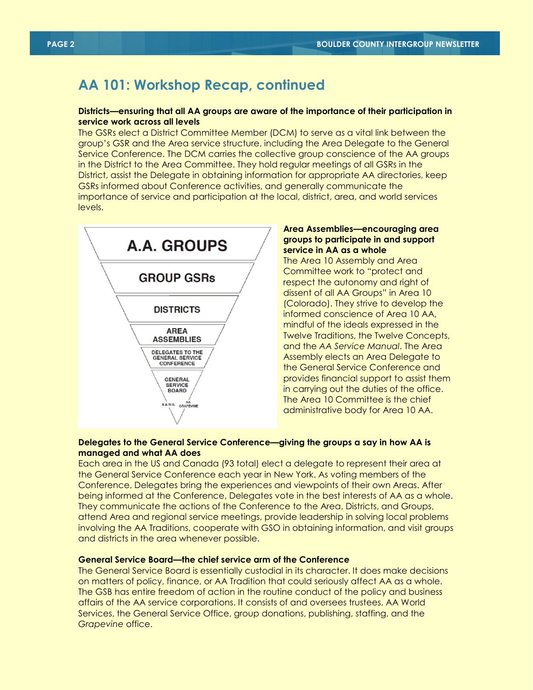# **AA 101: Workshop Recap, continued**

## **Districts—ensuring that all AA groups are aware of the importance of their participation in service work across all levels**

The GSRs elect a District Committee Member (DCM) to serve as a vital link between the group's GSR and the Area service structure, including the Area Delegate to the General Service Conference. The DCM carries the collective group conscience of the AA groups in the District to the Area Committee. They hold regular meetings of all GSRs in the District, assist the Delegate in obtaining information for appropriate AA directories, keep GSRs informed about Conference activities, and generally communicate the importance of service and participation at the local, district, area, and world services levels.



## **Area Assemblies—encouraging area groups to participate in and support service in AA as a whole**

The Area 10 Assembly and Area Committee work to "protect and respect the autonomy and right of dissent of all AA Groups" in Area 10 (Colorado). They strive to develop the informed conscience of Area 10 AA, mindful of the ideals expressed in the Twelve Traditions, the Twelve Concepts, and the *AA Service Manual*. The Area Assembly elects an Area Delegate to the General Service Conference and provides financial support to assist them in carrying out the duties of the office. The Area 10 Committee is the chief administrative body for Area 10 AA.

## **Delegates to the General Service Conference—giving the groups a say in how AA is managed and what AA does**

Each area in the US and Canada (93 total) elect a delegate to represent their area at the General Service Conference each year in New York. As voting members of the Conference, Delegates bring the experiences and viewpoints of their own Areas. After being informed at the Conference, Delegates vote in the best interests of AA as a whole. They communicate the actions of the Conference to the Area, Districts, and Groups, attend Area and regional service meetings, provide leadership in solving local problems involving the AA Traditions, cooperate with GSO in obtaining information, and visit groups and districts in the area whenever possible.

## **General Service Board—the chief service arm of the Conference**

The General Service Board is essentially custodial in its character. It does make decisions on matters of policy, finance, or AA Tradition that could seriously affect AA as a whole. The GSB has entire freedom of action in the routine conduct of the policy and business affairs of the AA service corporations. It consists of and oversees trustees, AA World Services, the General Service Office, group donations, publishing, staffing, and the *Grapevine* office.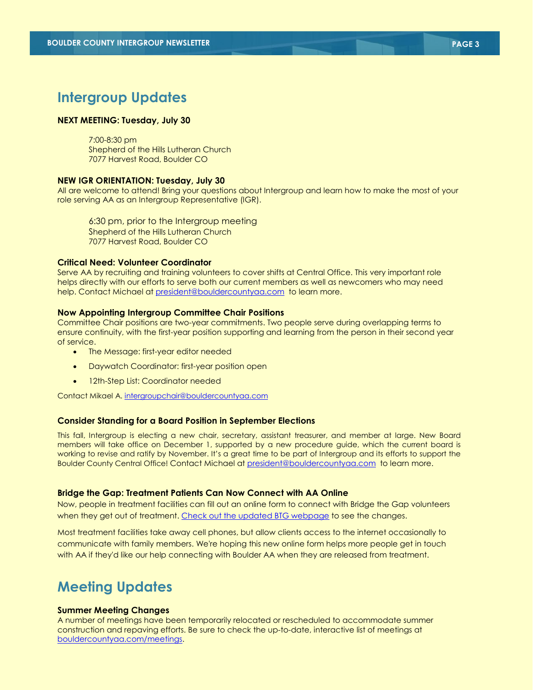# **Intergroup Updates**

### **NEXT MEETING: Tuesday, July 30**

7:00-8:30 pm Shepherd of the Hills Lutheran Church 7077 Harvest Road, Boulder CO

#### **NEW IGR ORIENTATION: Tuesday, July 30**

All are welcome to attend! Bring your questions about Intergroup and learn how to make the most of your role serving AA as an Intergroup Representative (IGR).

6:30 pm, prior to the Intergroup meeting Shepherd of the Hills Lutheran Church 7077 Harvest Road, Boulder CO

#### **Critical Need: Volunteer Coordinator**

Serve AA by recruiting and training volunteers to cover shifts at Central Office. This very important role helps directly with our efforts to serve both our current members as well as newcomers who may need help. Contact Michael at [president@bouldercountyaa.com](mailto:president@bouldercountyaa.com) to learn more.

#### **Now Appointing Intergroup Committee Chair Positions**

Committee Chair positions are two-year commitments. Two people serve during overlapping terms to ensure continuity, with the first-year position supporting and learning from the person in their second year of service.

- The Message: first-year editor needed
- Daywatch Coordinator: first-year position open
- 12th-Step List: Coordinator needed

Contact Mikael A. [intergroupchair@bouldercountyaa.com](http://intergroupchair@bouldercountyaa.com/)

#### **Consider Standing for a Board Position in September Elections**

This fall, Intergroup is electing a new chair, secretary, assistant treasurer, and member at large. New Board members will take office on December 1, supported by a new procedure guide, which the current board is working to revise and ratify by November. It's a great time to be part of Intergroup and its efforts to support the Boulder County Central Office! Contact Michael at [president@bouldercountyaa.com](mailto:president@bouldercountyaa.com) to learn more.

#### **Bridge the Gap: Treatment Patients Can Now Connect with AA Online**

Now, people in treatment facilities can fill out an online form to connect with Bridge the Gap volunteers when they get out of treatment[. Check out the updated BTG webpage](https://bouldercountyaa.com/bridging-the-gap) to see the changes.

Most treatment facilities take away cell phones, but allow clients access to the internet occasionally to communicate with family members. We're hoping this new online form helps more people get in touch with AA if they'd like our help connecting with Boulder AA when they are released from treatment.

# **Meeting Updates**

#### **Summer Meeting Changes**

A number of meetings have been temporarily relocated or rescheduled to accommodate summer construction and repaving efforts. Be sure to check the up-to-date, interactive list of meetings at [bouldercountyaa.com/meetings.](https://bouldercountyaa.com/meetings)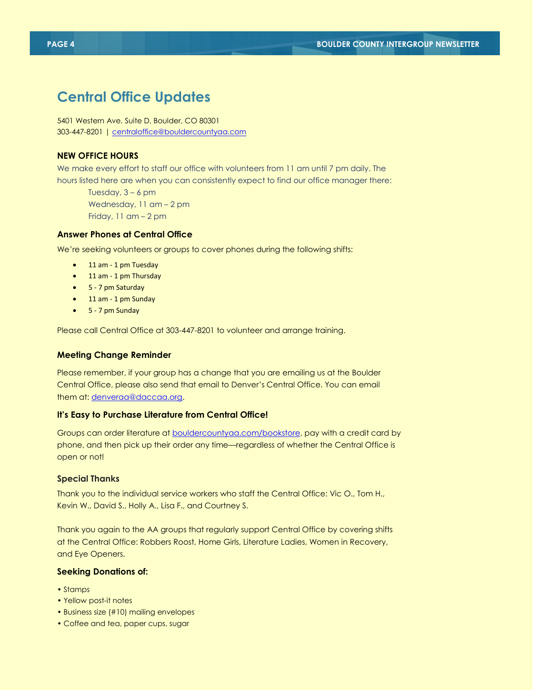# **Central Office Updates**

5401 Western Ave. Suite D, Boulder, CO 80301 303-447-8201 | [centraloffice@bouldercountyaa.com](mailto:centraloffice@bouldercountyaa.com)

## **NEW OFFICE HOURS**

We make every effort to staff our office with volunteers from 11 am until 7 pm daily. The hours listed here are when you can consistently expect to find our office manager there:

Tuesday, 3 – 6 pm Wednesday, 11 am – 2 pm Friday, 11 am – 2 pm

## **Answer Phones at Central Office**

We're seeking volunteers or groups to cover phones during the following shifts:

- 11 am 1 pm Tuesday
- 11 am 1 pm Thursday
- 5 7 pm Saturday
- 11 am 1 pm Sunday
- 5 7 pm Sunday

Please call Central Office at 303-447-8201 to volunteer and arrange training.

#### **Meeting Change Reminder**

Please remember, if your group has a change that you are emailing us at the Boulder Central Office, please also send that email to Denver's Central Office. You can email them at: [denveraa@daccaa.org.](mailto:denveraa@daccaa.org)

#### **It's Easy to Purchase Literature from Central Office!**

Groups can order literature at [bouldercountyaa.com/bookstore,](https://bouldercountyaa.com/bookstore) pay with a credit card by phone, and then pick up their order any time—regardless of whether the Central Office is open or not!

## **Special Thanks**

Thank you to the individual service workers who staff the Central Office: Vic O., Tom H., Kevin W., David S., Holly A., Lisa F., and Courtney S.

Thank you again to the AA groups that regularly support Central Office by covering shifts at the Central Office: Robbers Roost, Home Girls, Literature Ladies, Women in Recovery, and Eye Openers.

#### **Seeking Donations of:**

- Stamps
- Yellow post-it notes
- Business size (#10) mailing envelopes
- Coffee and tea, paper cups, sugar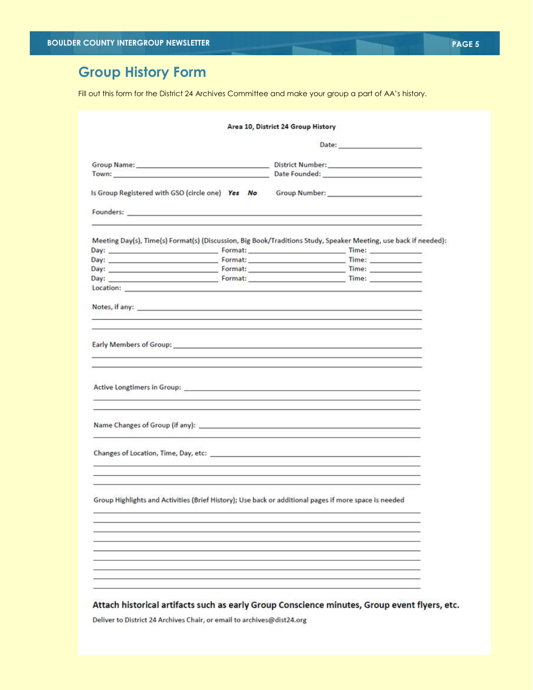# **Group History Form**

Fill out this form for the District 24 Archives Committee and make your group a part of AA's history.

| Is Group Registered with GSO (circle one) Yes No Group Number: _________________                                                                                                                                               |                                                                                                                                                                                                                               |
|--------------------------------------------------------------------------------------------------------------------------------------------------------------------------------------------------------------------------------|-------------------------------------------------------------------------------------------------------------------------------------------------------------------------------------------------------------------------------|
|                                                                                                                                                                                                                                | the control of the control of the control of the control of the control of the control of the control of the control of the control of the control of the control of the control of the control of the control of the control |
|                                                                                                                                                                                                                                | Meeting Day(s), Time(s) Format(s) (Discussion, Big Book/Traditions Study, Speaker Meeting, use back if needed):                                                                                                               |
|                                                                                                                                                                                                                                |                                                                                                                                                                                                                               |
|                                                                                                                                                                                                                                |                                                                                                                                                                                                                               |
|                                                                                                                                                                                                                                |                                                                                                                                                                                                                               |
|                                                                                                                                                                                                                                |                                                                                                                                                                                                                               |
|                                                                                                                                                                                                                                |                                                                                                                                                                                                                               |
| Notes, if any: example and a series of the series of the series of the series of the series of the series of the series of the series of the series of the series of the series of the series of the series of the series of t |                                                                                                                                                                                                                               |
| <u> 1989 - Andrea Santa Andrea Santa Andrea Santa Andrea Santa Andrea Santa Andrea Santa Andrea Santa Andrea San</u>                                                                                                           |                                                                                                                                                                                                                               |
|                                                                                                                                                                                                                                |                                                                                                                                                                                                                               |
| Early Members of Group: 1999. 2008. 2009. 2009. 2010. 2010. 2012. 2013. 2014. 2015. 2016. 2017. 2018. 2019. 20                                                                                                                 |                                                                                                                                                                                                                               |
|                                                                                                                                                                                                                                |                                                                                                                                                                                                                               |
|                                                                                                                                                                                                                                |                                                                                                                                                                                                                               |
|                                                                                                                                                                                                                                |                                                                                                                                                                                                                               |
| Group Highlights and Activities (Brief History); Use back or additional pages if more space is needed                                                                                                                          |                                                                                                                                                                                                                               |
|                                                                                                                                                                                                                                |                                                                                                                                                                                                                               |
|                                                                                                                                                                                                                                |                                                                                                                                                                                                                               |
|                                                                                                                                                                                                                                |                                                                                                                                                                                                                               |
|                                                                                                                                                                                                                                |                                                                                                                                                                                                                               |

Deliver to District 24 Archives Chair, or email to archives@dist24.org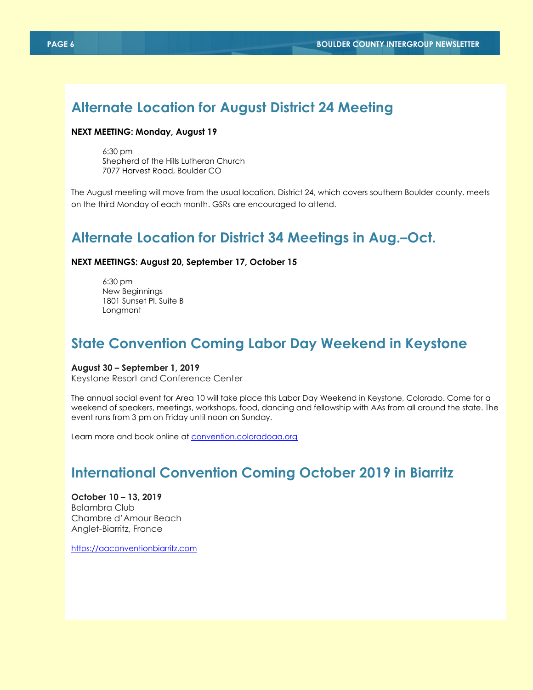# **Alternate Location for August District 24 Meeting**

## **NEXT MEETING: Monday, August 19**

6:30 pm Shepherd of the Hills Lutheran Church 7077 Harvest Road, Boulder CO

The August meeting will move from the usual location. District 24, which covers southern Boulder county, meets on the third Monday of each month. GSRs are encouraged to attend.

# **Alternate Location for District 34 Meetings in Aug.–Oct.**

#### **NEXT MEETINGS: August 20, September 17, October 15**

6:30 pm New Beginnings 1801 Sunset Pl. Suite B Longmont

# **State Convention Coming Labor Day Weekend in Keystone**

#### **August 30 – September 1, 2019**

Keystone Resort and Conference Center

The annual social event for Area 10 will take place this Labor Day Weekend in Keystone, Colorado. Come for a weekend of speakers, meetings, workshops, food, dancing and fellowship with AAs from all around the state. The event runs from 3 pm on Friday until noon on Sunday.

Learn more and book online at **convention.coloradoaa.org** 

# **International Convention Coming October 2019 in Biarritz**

**October 10 – 13, 2019** Belambra Club Chambre d'Amour Beach Anglet-Biarritz, France

[https://aaconventionbiarritz.com](https://aaconventionbiarritz.com/)